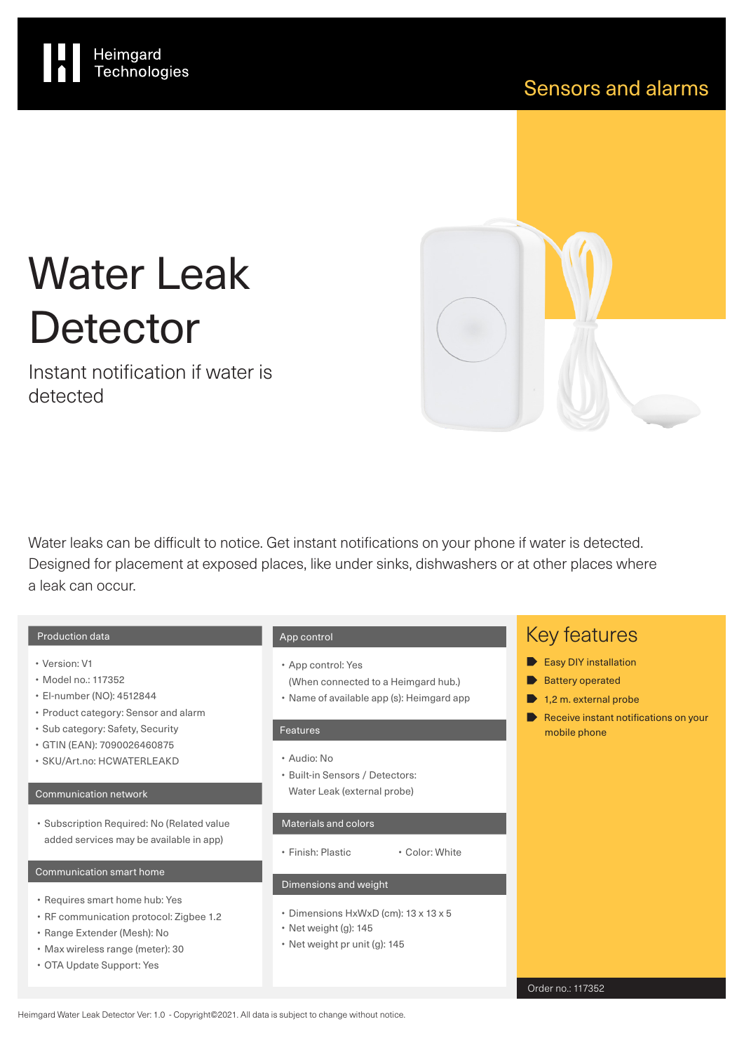

# Water Leak **Detector**

Heimgard<br>Technologies

Instant notification if water is detected

Water leaks can be difficult to notice. Get instant notifications on your phone if water is detected. Designed for placement at exposed places, like under sinks, dishwashers or at other places where a leak can occur.

### Production data

- Version: V1
- Model no.: 117352
- El-number (NO): 4512844
- Product category: Sensor and alarm
- Sub category: Safety, Security
- GTIN (EAN): 7090026460875
- SKU/Art.no: HCWATERLEAKD

### Communication network

• Subscription Required: No (Related value added services may be available in app)

#### Communication smart home

- Requires smart home hub: Yes
- RF communication protocol: Zigbee 1.2
- Range Extender (Mesh): No
- Max wireless range (meter): 30
- OTA Update Support: Yes

### App control

- App control: Yes
- (When connected to a Heimgard hub.)
- Name of available app (s): Heimgard app

### Features

- Audio: No
- Built-in Sensors / Detectors: Water Leak (external probe)

#### Materials and colors

• Finish: Plastic • Color: White

### Dimensions and weight

- Dimensions HxWxD (cm): 13 x 13 x 5
- Net weight (g): 145
- Net weight pr unit (g): 145

### Key features

- Easy DIY installation
- **Battery operated**
- $\blacktriangleright$  1,2 m. external probe
- Receive instant notifications on your mobile phone